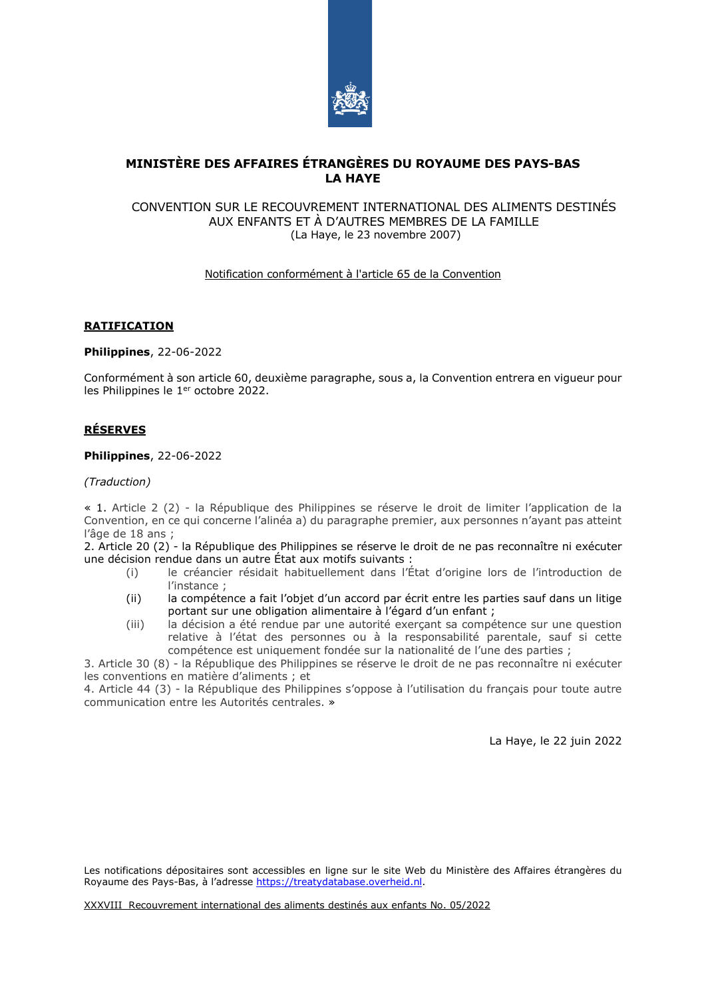

# **MINISTÈRE DES AFFAIRES ÉTRANGÈRES DU ROYAUME DES PAYS-BAS LA HAYE**

### CONVENTION SUR LE RECOUVREMENT INTERNATIONAL DES ALIMENTS DESTINÉS AUX ENFANTS ET À D'AUTRES MEMBRES DE LA FAMILLE (La Haye, le 23 novembre 2007)

## Notification conformément à l'article 65 de la Convention

## **RATIFICATION**

**Philippines**, 22-06-2022

Conformément à son article 60, deuxième paragraphe, sous a, la Convention entrera en vigueur pour les Philippines le 1<sup>er</sup> octobre 2022.

## **RÉSERVES**

**Philippines**, 22-06-2022

*(Traduction)*

« 1. Article 2 (2) - la République des Philippines se réserve le droit de limiter l'application de la Convention, en ce qui concerne l'alinéa a) du paragraphe premier, aux personnes n'ayant pas atteint l'âge de 18 ans ;

2. Article 20 (2) - la République des Philippines se réserve le droit de ne pas reconnaître ni exécuter une décision rendue dans un autre État aux motifs suivants :

- (i) le créancier résidait habituellement dans l'État d'origine lors de l'introduction de l'instance ;
- (ii) la compétence a fait l'objet d'un accord par écrit entre les parties sauf dans un litige portant sur une obligation alimentaire à l'égard d'un enfant ;
- (iii) la décision a été rendue par une autorité exerçant sa compétence sur une question relative à l'état des personnes ou à la responsabilité parentale, sauf si cette compétence est uniquement fondée sur la nationalité de l'une des parties ;

3. Article 30 (8) - la République des Philippines se réserve le droit de ne pas reconnaître ni exécuter les conventions en matière d'aliments ; et

4. Article 44 (3) - la République des Philippines s'oppose à l'utilisation du français pour toute autre communication entre les Autorités centrales. »

La Haye, le 22 juin 2022

Les notifications dépositaires sont accessibles en ligne sur le site Web du Ministère des Affaires étrangères du Royaume des Pays-Bas, à l'adresse [https://treatydatabase.overheid.nl.](https://treatydatabase.overheid.nl/)

XXXVIII Recouvrement international des aliments destinés aux enfants No. 05/2022